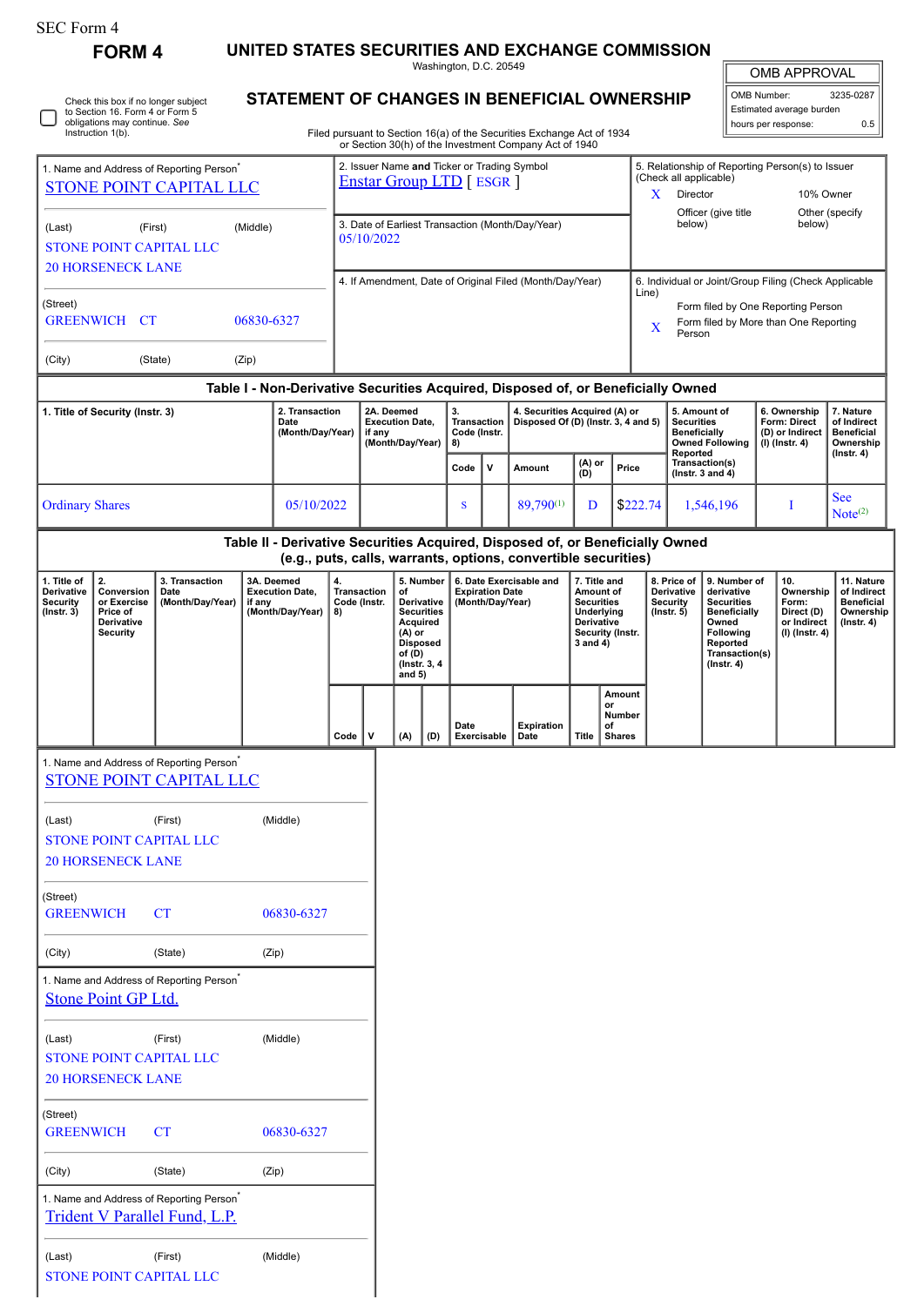| SEC Form 4 |  |
|------------|--|
|------------|--|

**FORM 4 UNITED STATES SECURITIES AND EXCHANGE COMMISSION**

Washington, D.C. 20549

|  | Check this box if no longer subject<br>to Section 16. Form 4 or Form 5<br>obligations may continue. See<br>Instruction 1(b). |
|--|------------------------------------------------------------------------------------------------------------------------------|
|--|------------------------------------------------------------------------------------------------------------------------------|

## **STATEMENT OF CHANGES IN BENEFICIAL OWNERSHIP**

Filed pursuant to Section 16(a) of the Securities Exchange Act of 1934 or Section 30(h) of the Investment Company Act of 1940

| <b>OMB APPROVAL</b> |
|---------------------|
|                     |

| OMB Number:              | 3235-0287 |
|--------------------------|-----------|
| Estimated average burden |           |
| hours per response:      | 0.5       |

| 1. Name and Address of Reporting Person <sup>'</sup><br>STONE POINT CAPITAL LLC<br>(First)<br>(Middle)<br>(Last)<br>STONE POINT CAPITAL LLC<br><b>20 HORSENECK LANE</b><br>(Street)<br><b>GREENWICH</b><br>CT<br>06830-6327 |                                                                              |                                                                                        |        | 2. Issuer Name and Ticker or Trading Symbol<br><b>Enstar Group LTD</b> [ ESGR ] |                                                                |        |                                                          |                                                                                 |                                                |   |                                                                                                                                                 | 5. Relationship of Reporting Person(s) to Issuer<br>(Check all applicable)<br>X<br>Director<br>10% Owner<br>Officer (give title<br>Other (specify |                                                                                                                                               |                                                                        |                                          |                                                                                                                                                |                                                                            |   |                                                                                 |  |
|-----------------------------------------------------------------------------------------------------------------------------------------------------------------------------------------------------------------------------|------------------------------------------------------------------------------|----------------------------------------------------------------------------------------|--------|---------------------------------------------------------------------------------|----------------------------------------------------------------|--------|----------------------------------------------------------|---------------------------------------------------------------------------------|------------------------------------------------|---|-------------------------------------------------------------------------------------------------------------------------------------------------|---------------------------------------------------------------------------------------------------------------------------------------------------|-----------------------------------------------------------------------------------------------------------------------------------------------|------------------------------------------------------------------------|------------------------------------------|------------------------------------------------------------------------------------------------------------------------------------------------|----------------------------------------------------------------------------|---|---------------------------------------------------------------------------------|--|
|                                                                                                                                                                                                                             |                                                                              |                                                                                        |        |                                                                                 | 3. Date of Earliest Transaction (Month/Day/Year)<br>05/10/2022 |        |                                                          |                                                                                 |                                                |   |                                                                                                                                                 |                                                                                                                                                   |                                                                                                                                               | below)                                                                 |                                          |                                                                                                                                                | below)                                                                     |   |                                                                                 |  |
|                                                                                                                                                                                                                             |                                                                              |                                                                                        |        |                                                                                 | 4. If Amendment, Date of Original Filed (Month/Day/Year)       |        |                                                          |                                                                                 |                                                |   |                                                                                                                                                 |                                                                                                                                                   | 6. Individual or Joint/Group Filing (Check Applicable<br>Line)<br>Form filed by One Reporting Person<br>Form filed by More than One Reporting |                                                                        |                                          |                                                                                                                                                |                                                                            |   |                                                                                 |  |
| (City)                                                                                                                                                                                                                      |                                                                              | (State)                                                                                | (Zip)  |                                                                                 |                                                                |        |                                                          |                                                                                 |                                                |   |                                                                                                                                                 |                                                                                                                                                   |                                                                                                                                               | X                                                                      | Person                                   |                                                                                                                                                |                                                                            |   |                                                                                 |  |
|                                                                                                                                                                                                                             |                                                                              |                                                                                        |        |                                                                                 |                                                                |        |                                                          |                                                                                 |                                                |   | Table I - Non-Derivative Securities Acquired, Disposed of, or Beneficially Owned                                                                |                                                                                                                                                   |                                                                                                                                               |                                                                        |                                          |                                                                                                                                                |                                                                            |   |                                                                                 |  |
|                                                                                                                                                                                                                             | 1. Title of Security (Instr. 3)                                              |                                                                                        |        | 2. Transaction<br>Date<br>(Month/Day/Year)                                      |                                                                | if any | 2A. Deemed<br><b>Execution Date,</b><br>(Month/Day/Year) |                                                                                 | 3.<br><b>Transaction</b><br>Code (Instr.<br>8) |   |                                                                                                                                                 | 4. Securities Acquired (A) or<br>Disposed Of (D) (Instr. 3, 4 and 5)                                                                              |                                                                                                                                               |                                                                        | <b>Securities</b><br><b>Beneficially</b> | 5. Amount of<br><b>Owned Following</b>                                                                                                         | 6. Ownership<br>Form: Direct<br>(D) or Indirect<br>(I) (Instr. 4)          |   | 7. Nature<br>of Indirect<br><b>Beneficial</b><br>Ownership                      |  |
|                                                                                                                                                                                                                             |                                                                              |                                                                                        |        |                                                                                 |                                                                |        |                                                          |                                                                                 | Code                                           | v | Amount                                                                                                                                          | (A) or<br>(D)                                                                                                                                     | Price                                                                                                                                         |                                                                        | Reported                                 | Transaction(s)<br>(Instr. $3$ and $4)$                                                                                                         |                                                                            |   | $($ Instr. 4 $)$                                                                |  |
| <b>Ordinary Shares</b>                                                                                                                                                                                                      |                                                                              |                                                                                        |        | 05/10/2022                                                                      |                                                                |        |                                                          |                                                                                 | S                                              |   | 89,790(1)                                                                                                                                       | D                                                                                                                                                 |                                                                                                                                               | \$222.74                                                               | 1,546,196                                |                                                                                                                                                |                                                                            | I | <b>See</b><br>Note <sup>(2)</sup>                                               |  |
|                                                                                                                                                                                                                             |                                                                              |                                                                                        |        |                                                                                 |                                                                |        |                                                          |                                                                                 |                                                |   | Table II - Derivative Securities Acquired, Disposed of, or Beneficially Owned<br>(e.g., puts, calls, warrants, options, convertible securities) |                                                                                                                                                   |                                                                                                                                               |                                                                        |                                          |                                                                                                                                                |                                                                            |   |                                                                                 |  |
| 1. Title of<br>Derivative<br><b>Security</b><br>$($ lnstr. $3)$                                                                                                                                                             | 2.<br>Conversion<br>or Exercise<br>Price of<br>Derivative<br><b>Security</b> | 3. Transaction<br>Date<br>(Month/Day/Year)                                             | if any | 3A. Deemed<br><b>Execution Date,</b><br>(Month/Day/Year)                        | 4.<br><b>Transaction</b><br>Code (Instr.<br>8)                 |        | of<br>Acquired<br>(A) or<br>of (D)<br>and $5)$           | 5. Number<br>Derivative<br><b>Securities</b><br><b>Disposed</b><br>(Instr. 3, 4 | <b>Expiration Date</b><br>(Month/Day/Year)     |   | 6. Date Exercisable and                                                                                                                         | 7. Title and<br>Amount of<br><b>Securities</b><br>Underlying<br>Derivative<br>3 and 4)                                                            | Security (Instr.                                                                                                                              | 8. Price of<br><b>Derivative</b><br><b>Security</b><br>$($ Instr. $5)$ |                                          | 9. Number of<br>derivative<br><b>Securities</b><br><b>Beneficially</b><br>Owned<br>Following<br>Reported<br>Transaction(s)<br>$($ Instr. 4 $)$ | 10.<br>Ownership<br>Form:<br>Direct (D)<br>or Indirect<br>$(I)$ (Instr. 4) |   | 11. Nature<br>of Indirect<br><b>Beneficial</b><br>Ownership<br>$($ lnstr. 4 $)$ |  |
|                                                                                                                                                                                                                             |                                                                              |                                                                                        |        |                                                                                 | Code                                                           | v      | (A)                                                      | (D)                                                                             | Date<br>Exercisable                            |   | Expiration<br>Date                                                                                                                              | <b>Title</b>                                                                                                                                      | Amount<br>or<br>Number<br>of<br><b>Shares</b>                                                                                                 |                                                                        |                                          |                                                                                                                                                |                                                                            |   |                                                                                 |  |
|                                                                                                                                                                                                                             |                                                                              | 1. Name and Address of Reporting Person <sup>®</sup><br><b>STONE POINT CAPITAL LLC</b> |        |                                                                                 |                                                                |        |                                                          |                                                                                 |                                                |   |                                                                                                                                                 |                                                                                                                                                   |                                                                                                                                               |                                                                        |                                          |                                                                                                                                                |                                                                            |   |                                                                                 |  |
| (Last)                                                                                                                                                                                                                      | <b>20 HORSENECK LANE</b>                                                     | (First)<br><b>STONE POINT CAPITAL LLC</b>                                              |        | (Middle)                                                                        |                                                                |        |                                                          |                                                                                 |                                                |   |                                                                                                                                                 |                                                                                                                                                   |                                                                                                                                               |                                                                        |                                          |                                                                                                                                                |                                                                            |   |                                                                                 |  |
| (Street)<br><b>GREENWICH</b>                                                                                                                                                                                                |                                                                              | <b>CT</b>                                                                              |        | 06830-6327                                                                      |                                                                |        |                                                          |                                                                                 |                                                |   |                                                                                                                                                 |                                                                                                                                                   |                                                                                                                                               |                                                                        |                                          |                                                                                                                                                |                                                                            |   |                                                                                 |  |
| (City)                                                                                                                                                                                                                      |                                                                              | (State)                                                                                |        | (Zip)                                                                           |                                                                |        |                                                          |                                                                                 |                                                |   |                                                                                                                                                 |                                                                                                                                                   |                                                                                                                                               |                                                                        |                                          |                                                                                                                                                |                                                                            |   |                                                                                 |  |
|                                                                                                                                                                                                                             | <b>Stone Point GP Ltd.</b>                                                   | 1. Name and Address of Reporting Person <sup>*</sup>                                   |        |                                                                                 |                                                                |        |                                                          |                                                                                 |                                                |   |                                                                                                                                                 |                                                                                                                                                   |                                                                                                                                               |                                                                        |                                          |                                                                                                                                                |                                                                            |   |                                                                                 |  |
| (Last)                                                                                                                                                                                                                      | <b>20 HORSENECK LANE</b>                                                     | (First)<br><b>STONE POINT CAPITAL LLC</b>                                              |        | (Middle)                                                                        |                                                                |        |                                                          |                                                                                 |                                                |   |                                                                                                                                                 |                                                                                                                                                   |                                                                                                                                               |                                                                        |                                          |                                                                                                                                                |                                                                            |   |                                                                                 |  |
| (Street)<br><b>GREENWICH</b>                                                                                                                                                                                                |                                                                              | <b>CT</b>                                                                              |        | 06830-6327                                                                      |                                                                |        |                                                          |                                                                                 |                                                |   |                                                                                                                                                 |                                                                                                                                                   |                                                                                                                                               |                                                                        |                                          |                                                                                                                                                |                                                                            |   |                                                                                 |  |
| (City)                                                                                                                                                                                                                      |                                                                              | (State)                                                                                |        | (Zip)                                                                           |                                                                |        |                                                          |                                                                                 |                                                |   |                                                                                                                                                 |                                                                                                                                                   |                                                                                                                                               |                                                                        |                                          |                                                                                                                                                |                                                                            |   |                                                                                 |  |
|                                                                                                                                                                                                                             |                                                                              | 1. Name and Address of Reporting Person <sup>*</sup><br>Trident V Parallel Fund, L.P.  |        |                                                                                 |                                                                |        |                                                          |                                                                                 |                                                |   |                                                                                                                                                 |                                                                                                                                                   |                                                                                                                                               |                                                                        |                                          |                                                                                                                                                |                                                                            |   |                                                                                 |  |

(Last) (First) (Middle) STONE POINT CAPITAL LLC